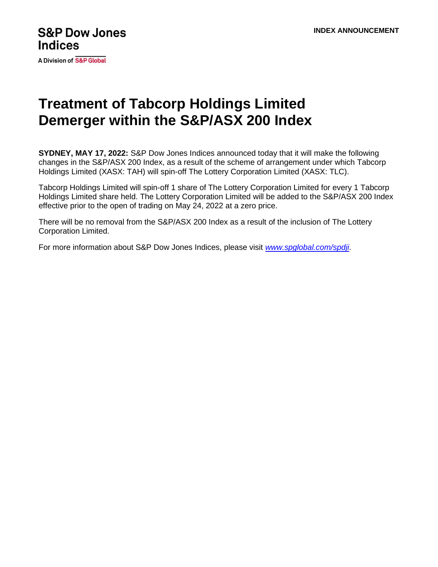A Division of S&P Global

## **Treatment of Tabcorp Holdings Limited Demerger within the S&P/ASX 200 Index**

**SYDNEY, MAY 17, 2022:** S&P Dow Jones Indices announced today that it will make the following changes in the S&P/ASX 200 Index, as a result of the scheme of arrangement under which Tabcorp Holdings Limited (XASX: TAH) will spin-off The Lottery Corporation Limited (XASX: TLC).

Tabcorp Holdings Limited will spin-off 1 share of The Lottery Corporation Limited for every 1 Tabcorp Holdings Limited share held. The Lottery Corporation Limited will be added to the S&P/ASX 200 Index effective prior to the open of trading on May 24, 2022 at a zero price.

There will be no removal from the S&P/ASX 200 Index as a result of the inclusion of The Lottery Corporation Limited.

For more information about S&P Dow Jones Indices, please visit *[www.spglobal.com/spdji](http://www.spglobal.com/spdji)*.